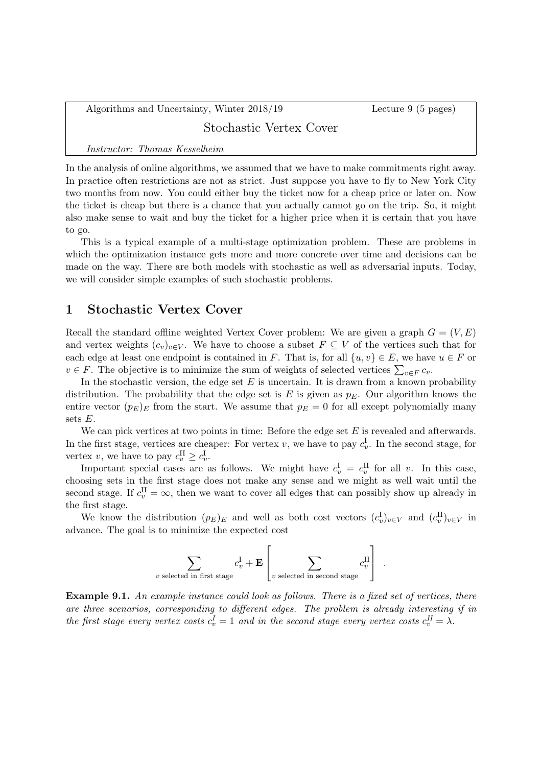Algorithms and Uncertainty, Winter 2018/19 Lecture 9 (5 pages)

### Stochastic Vertex Cover

#### Instructor: Thomas Kesselheim

In the analysis of online algorithms, we assumed that we have to make commitments right away. In practice often restrictions are not as strict. Just suppose you have to fly to New York City two months from now. You could either buy the ticket now for a cheap price or later on. Now the ticket is cheap but there is a chance that you actually cannot go on the trip. So, it might also make sense to wait and buy the ticket for a higher price when it is certain that you have to go.

This is a typical example of a multi-stage optimization problem. These are problems in which the optimization instance gets more and more concrete over time and decisions can be made on the way. There are both models with stochastic as well as adversarial inputs. Today, we will consider simple examples of such stochastic problems.

#### 1 Stochastic Vertex Cover

Recall the standard offline weighted Vertex Cover problem: We are given a graph  $G = (V, E)$ and vertex weights  $(c_v)_{v\in V}$ . We have to choose a subset  $F \subseteq V$  of the vertices such that for each edge at least one endpoint is contained in F. That is, for all  $\{u, v\} \in E$ , we have  $u \in F$  or  $v \in F$ . The objective is to minimize the sum of weights of selected vertices  $\sum_{v \in F} c_v$ .

In the stochastic version, the edge set  $E$  is uncertain. It is drawn from a known probability distribution. The probability that the edge set is E is given as  $p<sub>E</sub>$ . Our algorithm knows the entire vector  $(p_E)_E$  from the start. We assume that  $p_E = 0$  for all except polynomially many sets  $E$ .

We can pick vertices at two points in time: Before the edge set  $E$  is revealed and afterwards. In the first stage, vertices are cheaper: For vertex v, we have to pay  $c_v^{\rm I}$ . In the second stage, for vertex v, we have to pay  $c_v^{\text{II}} \geq c_v^{\text{I}}$ .

Important special cases are as follows. We might have  $c_v^{\text{I}} = c_v^{\text{II}}$  for all v. In this case, choosing sets in the first stage does not make any sense and we might as well wait until the second stage. If  $c_v^{\text{II}} = \infty$ , then we want to cover all edges that can possibly show up already in the first stage.

We know the distribution  $(p_E)_E$  and well as both cost vectors  $(c_v^I)_{v \in V}$  and  $(c_v^{\text{II}})_{v \in V}$  in advance. The goal is to minimize the expected cost

$$
\sum_{v \text{ selected in first stage}} c_v^{\text{I}} + \mathbf{E} \left[ \sum_{v \text{ selected in second stage}} c_v^{\text{II}} \right] .
$$

Example 9.1. An example instance could look as follows. There is a fixed set of vertices, there are three scenarios, corresponding to different edges. The problem is already interesting if in the first stage every vertex costs  $c_v^I = 1$  and in the second stage every vertex costs  $c_v^I = \lambda$ .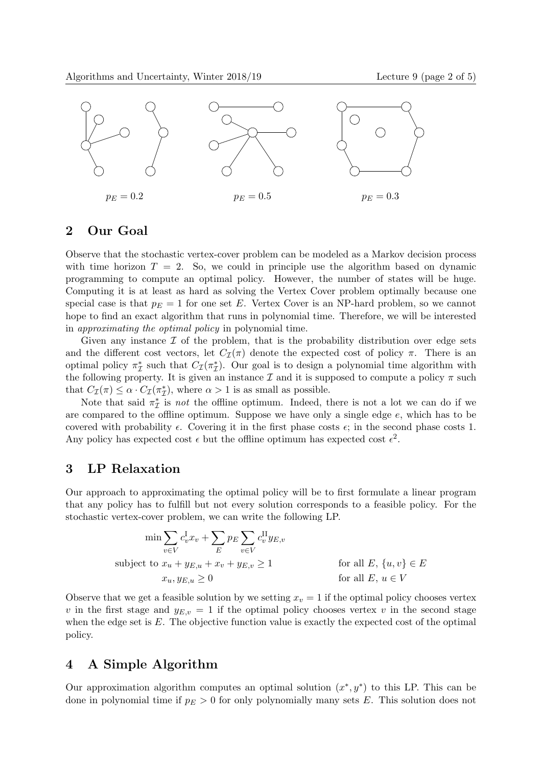

# 2 Our Goal

Observe that the stochastic vertex-cover problem can be modeled as a Markov decision process with time horizon  $T = 2$ . So, we could in principle use the algorithm based on dynamic programming to compute an optimal policy. However, the number of states will be huge. Computing it is at least as hard as solving the Vertex Cover problem optimally because one special case is that  $p_E = 1$  for one set E. Vertex Cover is an NP-hard problem, so we cannot hope to find an exact algorithm that runs in polynomial time. Therefore, we will be interested in approximating the optimal policy in polynomial time.

Given any instance  $\mathcal I$  of the problem, that is the probability distribution over edge sets and the different cost vectors, let  $C_{\mathcal{I}}(\pi)$  denote the expected cost of policy  $\pi$ . There is an optimal policy  $\pi^*_{\mathcal{I}}$  such that  $C_{\mathcal{I}}(\pi^*_{\mathcal{I}})$ . Our goal is to design a polynomial time algorithm with the following property. It is given an instance  $\mathcal I$  and it is supposed to compute a policy  $\pi$  such that  $C_{\mathcal{I}}(\pi) \leq \alpha \cdot C_{\mathcal{I}}(\pi_{\mathcal{I}}^{*})$ , where  $\alpha > 1$  is as small as possible.

Note that said  $\pi_{\mathcal{I}}^{*}$  is *not* the offline optimum. Indeed, there is not a lot we can do if we are compared to the offline optimum. Suppose we have only a single edge  $e$ , which has to be covered with probability  $\epsilon$ . Covering it in the first phase costs  $\epsilon$ ; in the second phase costs 1. Any policy has expected cost  $\epsilon$  but the offline optimum has expected cost  $\epsilon^2$ .

### 3 LP Relaxation

Our approach to approximating the optimal policy will be to first formulate a linear program that any policy has to fulfill but not every solution corresponds to a feasible policy. For the stochastic vertex-cover problem, we can write the following LP.

$$
\min \sum_{v \in V} c_v^{\text{I}} x_v + \sum_E p_E \sum_{v \in V} c_v^{\text{II}} y_{E,v}
$$
\n
$$
\text{subject to } x_u + y_{E,u} + x_v + y_{E,v} \ge 1 \qquad \text{for all } E, \{u, v\} \in E
$$
\n
$$
x_u, y_{E,u} \ge 0 \qquad \text{for all } E, u \in V
$$

Observe that we get a feasible solution by we setting  $x_v = 1$  if the optimal policy chooses vertex v in the first stage and  $y_{E,v} = 1$  if the optimal policy chooses vertex v in the second stage when the edge set is E. The objective function value is exactly the expected cost of the optimal policy.

## 4 A Simple Algorithm

Our approximation algorithm computes an optimal solution  $(x^*, y^*)$  to this LP. This can be done in polynomial time if  $p_E > 0$  for only polynomially many sets E. This solution does not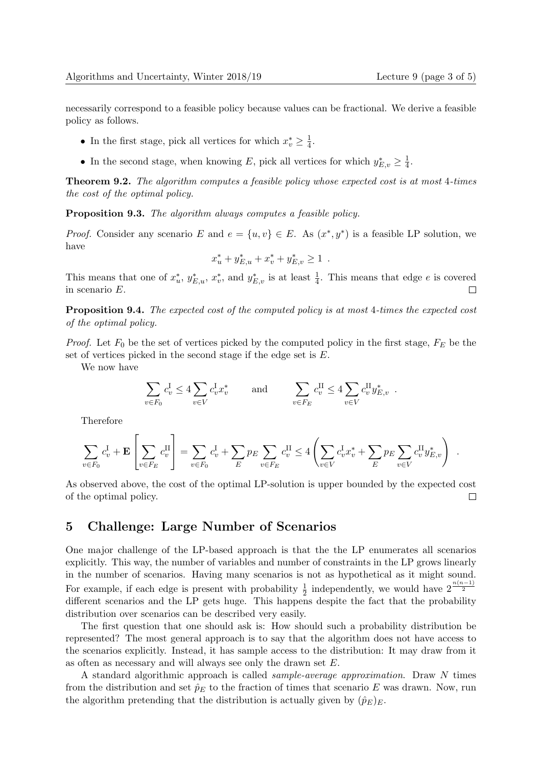.

necessarily correspond to a feasible policy because values can be fractional. We derive a feasible policy as follows.

- In the first stage, pick all vertices for which  $x_v^* \geq \frac{1}{4}$  $\frac{1}{4}$ .
- In the second stage, when knowing E, pick all vertices for which  $y_{E,v}^* \geq \frac{1}{4}$  $\frac{1}{4}$ .

**Theorem 9.2.** The algorithm computes a feasible policy whose expected cost is at most 4-times the cost of the optimal policy.

Proposition 9.3. The algorithm always computes a feasible policy.

*Proof.* Consider any scenario E and  $e = \{u, v\} \in E$ . As  $(x^*, y^*)$  is a feasible LP solution, we have

$$
x_u^* + y_{E,u}^* + x_v^* + y_{E,v}^* \ge 1
$$

This means that one of  $x_u^*, y_{E,u}^*, x_v^*,$  and  $y_{E,v}^*$  is at least  $\frac{1}{4}$ . This means that edge e is covered  $\Box$ in scenario E.

Proposition 9.4. The expected cost of the computed policy is at most 4-times the expected cost of the optimal policy.

*Proof.* Let  $F_0$  be the set of vertices picked by the computed policy in the first stage,  $F_E$  be the set of vertices picked in the second stage if the edge set is E.

We now have

$$
\sum_{v \in F_0} c_v^{\text{I}} \le 4 \sum_{v \in V} c_v^{\text{I}} x_v^* \quad \text{and} \quad \sum_{v \in F_E} c_v^{\text{II}} \le 4 \sum_{v \in V} c_v^{\text{II}} y_{E,v}^*.
$$

Therefore

$$
\sum_{v \in F_0} c_v^{\text{I}} + \mathbf{E} \left[ \sum_{v \in F_E} c_v^{\text{II}} \right] = \sum_{v \in F_0} c_v^{\text{I}} + \sum_{E} p_E \sum_{v \in F_E} c_v^{\text{II}} \le 4 \left( \sum_{v \in V} c_v^{\text{I}} x_v^* + \sum_{E} p_E \sum_{v \in V} c_v^{\text{II}} y_{E,v}^* \right)
$$

As observed above, the cost of the optimal LP-solution is upper bounded by the expected cost of the optimal policy.  $\Box$ 

#### 5 Challenge: Large Number of Scenarios

One major challenge of the LP-based approach is that the the LP enumerates all scenarios explicitly. This way, the number of variables and number of constraints in the LP grows linearly in the number of scenarios. Having many scenarios is not as hypothetical as it might sound. For example, if each edge is present with probability  $\frac{1}{2}$  independently, we would have  $2^{\frac{n(n-1)}{2}}$ different scenarios and the LP gets huge. This happens despite the fact that the probability distribution over scenarios can be described very easily.

The first question that one should ask is: How should such a probability distribution be represented? The most general approach is to say that the algorithm does not have access to the scenarios explicitly. Instead, it has sample access to the distribution: It may draw from it as often as necessary and will always see only the drawn set E.

A standard algorithmic approach is called sample-average approximation. Draw N times from the distribution and set  $\hat{p}_E$  to the fraction of times that scenario E was drawn. Now, run the algorithm pretending that the distribution is actually given by  $(\hat{p}_E)_E$ .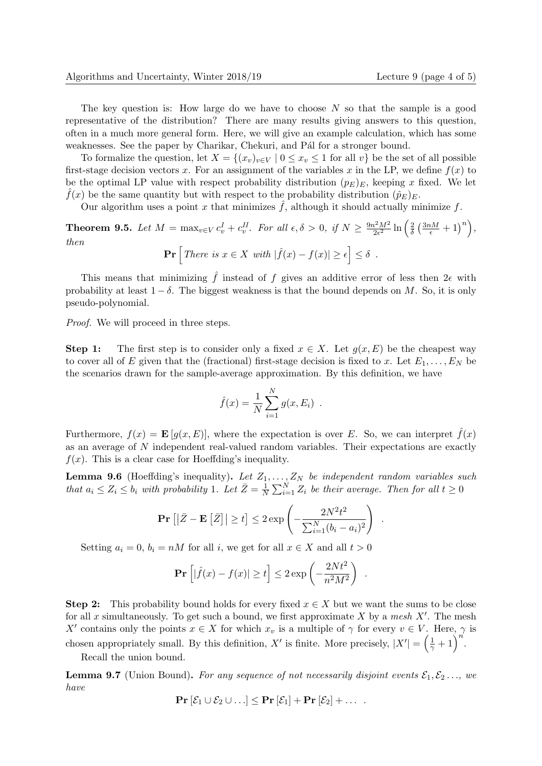The key question is: How large do we have to choose  $N$  so that the sample is a good representative of the distribution? There are many results giving answers to this question, often in a much more general form. Here, we will give an example calculation, which has some weaknesses. See the paper by Charikar, Chekuri, and Pál for a stronger bound.

To formalize the question, let  $X = \{(x_v)_{v \in V} \mid 0 \le x_v \le 1 \text{ for all } v\}$  be the set of all possible first-stage decision vectors x. For an assignment of the variables x in the LP, we define  $f(x)$  to be the optimal LP value with respect probability distribution  $(p_E)_E$ , keeping x fixed. We let  $\hat{f}(x)$  be the same quantity but with respect to the probability distribution  $(\hat{p}_E)_E$ .

Our algorithm uses a point x that minimizes  $\hat{f}$ , although it should actually minimize f.

**Theorem 9.5.** Let  $M = \max_{v \in V} c_v^I + c_v^H$ . For all  $\epsilon, \delta > 0$ , if  $N \geq \frac{9n^2M^2}{2\epsilon^2}$  $\frac{i^2 M^2}{2\epsilon^2} \ln \left( \frac{2}{\delta} \right)$  $\frac{2}{\delta}\left(\frac{3nM}{\epsilon}+1\right)^n\right),$ then

$$
\Pr\left[\text{There is } x \in X \text{ with } |\hat{f}(x) - f(x)| \ge \epsilon\right] \le \delta.
$$

This means that minimizing  $\hat{f}$  instead of f gives an additive error of less then  $2\epsilon$  with probability at least  $1 - \delta$ . The biggest weakness is that the bound depends on M. So, it is only pseudo-polynomial.

Proof. We will proceed in three steps.

Step 1: The first step is to consider only a fixed  $x \in X$ . Let  $g(x, E)$  be the cheapest way to cover all of E given that the (fractional) first-stage decision is fixed to x. Let  $E_1, \ldots, E_N$  be the scenarios drawn for the sample-average approximation. By this definition, we have

$$
\hat{f}(x) = \frac{1}{N} \sum_{i=1}^{N} g(x, E_i)
$$
.

Furthermore,  $f(x) = \mathbf{E}[g(x, E)]$ , where the expectation is over E. So, we can interpret  $\hat{f}(x)$ as an average of N independent real-valued random variables. Their expectations are exactly  $f(x)$ . This is a clear case for Hoeffding's inequality.

**Lemma 9.6** (Hoeffding's inequality). Let  $Z_1, \ldots, Z_N$  be independent random variables such that  $a_i \leq Z_i \leq b_i$  with probability 1. Let  $\overline{Z} = \frac{1}{N}$  $\frac{1}{N} \sum_{i=1}^{N} Z_i$  be their average. Then for all  $t \geq 0$ 

$$
\Pr\left[\left|\bar{Z} - \mathbf{E}\left[\bar{Z}\right]\right| \ge t\right] \le 2 \exp\left(-\frac{2N^2t^2}{\sum_{i=1}^N (b_i - a_i)^2}\right)
$$

.

.

Setting  $a_i = 0$ ,  $b_i = nM$  for all i, we get for all  $x \in X$  and all  $t > 0$ 

$$
\mathbf{Pr}\left[|\hat{f}(x) - f(x)| \ge t\right] \le 2 \exp\left(-\frac{2Nt^2}{n^2M^2}\right)
$$

**Step 2:** This probability bound holds for every fixed  $x \in X$  but we want the sums to be close for all x simultaneously. To get such a bound, we first approximate X by a mesh  $X'$ . The mesh X' contains only the points  $x \in X$  for which  $x_v$  is a multiple of  $\gamma$  for every  $v \in V$ . Here,  $\gamma$  is chosen appropriately small. By this definition, X' is finite. More precisely,  $|X'| = \left(\frac{1}{\gamma} + 1\right)^{n'}$ .

Recall the union bound.

**Lemma 9.7** (Union Bound). For any sequence of not necessarily disjoint events  $\mathcal{E}_1, \mathcal{E}_2, \ldots$ , we have

$$
\mathbf{Pr}\left[\mathcal{E}_1 \cup \mathcal{E}_2 \cup \ldots\right] \leq \mathbf{Pr}\left[\mathcal{E}_1\right] + \mathbf{Pr}\left[\mathcal{E}_2\right] + \ldots
$$